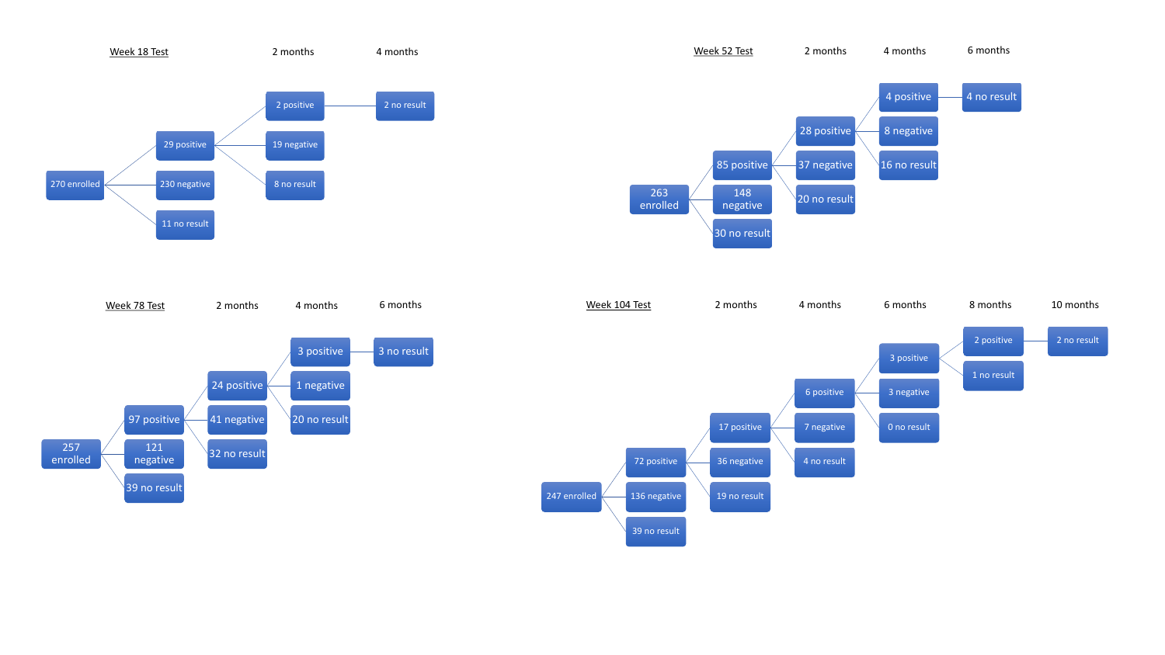